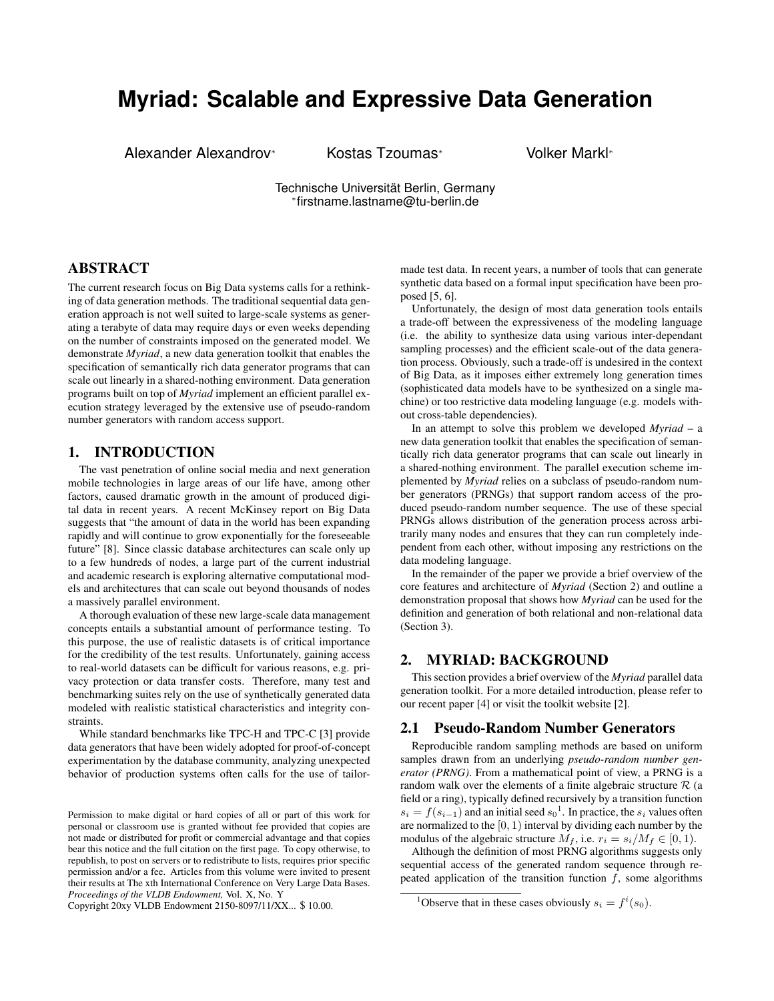# **Myriad: Scalable and Expressive Data Generation**

Alexander Alexandrov<sup>∗</sup> Kostas Tzoumas<sup>∗</sup> Volker Markl<sup>∗</sup>

Technische Universität Berlin, Germany ∗ firstname.lastname@tu-berlin.de

# ABSTRACT

The current research focus on Big Data systems calls for a rethinking of data generation methods. The traditional sequential data generation approach is not well suited to large-scale systems as generating a terabyte of data may require days or even weeks depending on the number of constraints imposed on the generated model. We demonstrate *Myriad*, a new data generation toolkit that enables the specification of semantically rich data generator programs that can scale out linearly in a shared-nothing environment. Data generation programs built on top of *Myriad* implement an efficient parallel execution strategy leveraged by the extensive use of pseudo-random number generators with random access support.

# 1. INTRODUCTION

The vast penetration of online social media and next generation mobile technologies in large areas of our life have, among other factors, caused dramatic growth in the amount of produced digital data in recent years. A recent McKinsey report on Big Data suggests that "the amount of data in the world has been expanding rapidly and will continue to grow exponentially for the foreseeable future" [8]. Since classic database architectures can scale only up to a few hundreds of nodes, a large part of the current industrial and academic research is exploring alternative computational models and architectures that can scale out beyond thousands of nodes a massively parallel environment.

A thorough evaluation of these new large-scale data management concepts entails a substantial amount of performance testing. To this purpose, the use of realistic datasets is of critical importance for the credibility of the test results. Unfortunately, gaining access to real-world datasets can be difficult for various reasons, e.g. privacy protection or data transfer costs. Therefore, many test and benchmarking suites rely on the use of synthetically generated data modeled with realistic statistical characteristics and integrity constraints.

While standard benchmarks like TPC-H and TPC-C [3] provide data generators that have been widely adopted for proof-of-concept experimentation by the database community, analyzing unexpected behavior of production systems often calls for the use of tailor-

Copyright 20xy VLDB Endowment 2150-8097/11/XX... \$ 10.00.

made test data. In recent years, a number of tools that can generate synthetic data based on a formal input specification have been proposed [5, 6].

Unfortunately, the design of most data generation tools entails a trade-off between the expressiveness of the modeling language (i.e. the ability to synthesize data using various inter-dependant sampling processes) and the efficient scale-out of the data generation process. Obviously, such a trade-off is undesired in the context of Big Data, as it imposes either extremely long generation times (sophisticated data models have to be synthesized on a single machine) or too restrictive data modeling language (e.g. models without cross-table dependencies).

In an attempt to solve this problem we developed *Myriad* – a new data generation toolkit that enables the specification of semantically rich data generator programs that can scale out linearly in a shared-nothing environment. The parallel execution scheme implemented by *Myriad* relies on a subclass of pseudo-random number generators (PRNGs) that support random access of the produced pseudo-random number sequence. The use of these special PRNGs allows distribution of the generation process across arbitrarily many nodes and ensures that they can run completely independent from each other, without imposing any restrictions on the data modeling language.

In the remainder of the paper we provide a brief overview of the core features and architecture of *Myriad* (Section 2) and outline a demonstration proposal that shows how *Myriad* can be used for the definition and generation of both relational and non-relational data (Section 3).

## 2. MYRIAD: BACKGROUND

This section provides a brief overview of the *Myriad* parallel data generation toolkit. For a more detailed introduction, please refer to our recent paper [4] or visit the toolkit website [2].

# 2.1 Pseudo-Random Number Generators

Reproducible random sampling methods are based on uniform samples drawn from an underlying *pseudo-random number generator (PRNG)*. From a mathematical point of view, a PRNG is a random walk over the elements of a finite algebraic structure  $R$  (a field or a ring), typically defined recursively by a transition function  $s_i = f(s_{i-1})$  and an initial seed  $s_0$ <sup>1</sup>. In practice, the  $s_i$  values often are normalized to the  $[0, 1)$  interval by dividing each number by the modulus of the algebraic structure  $M_f$ , i.e.  $r_i = s_i/M_f \in [0, 1)$ .

Although the definition of most PRNG algorithms suggests only sequential access of the generated random sequence through repeated application of the transition function  $f$ , some algorithms

Permission to make digital or hard copies of all or part of this work for personal or classroom use is granted without fee provided that copies are not made or distributed for profit or commercial advantage and that copies bear this notice and the full citation on the first page. To copy otherwise, to republish, to post on servers or to redistribute to lists, requires prior specific permission and/or a fee. Articles from this volume were invited to present their results at The xth International Conference on Very Large Data Bases. *Proceedings of the VLDB Endowment,* Vol. X, No. Y

<sup>&</sup>lt;sup>1</sup>Observe that in these cases obviously  $s_i = f^i(s_0)$ .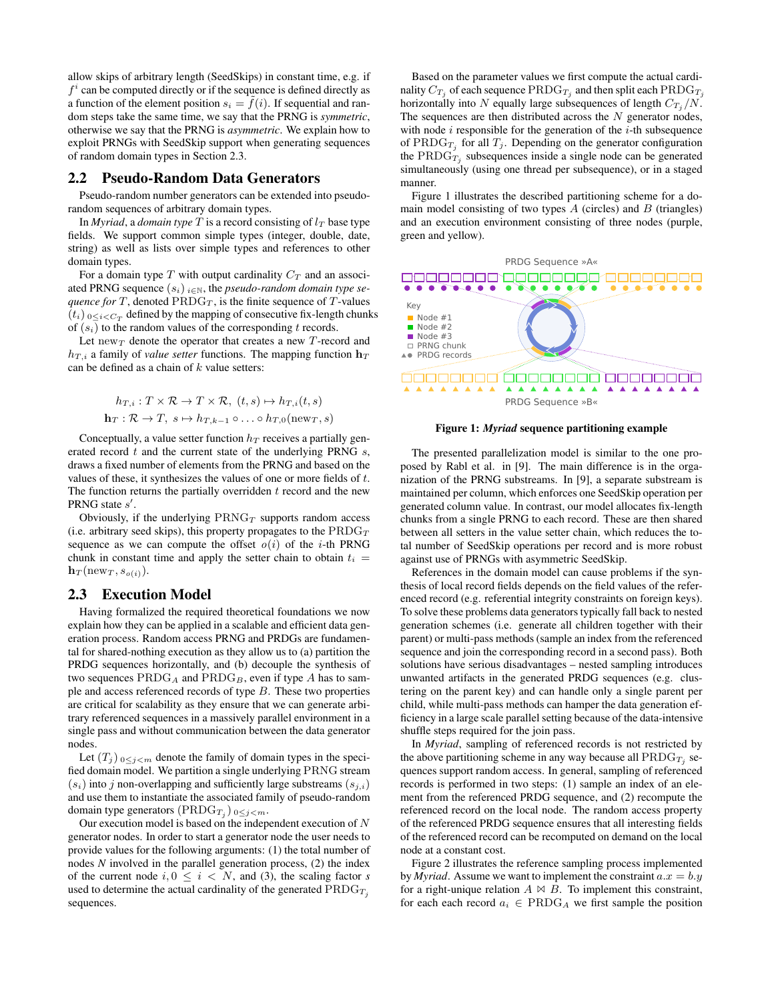allow skips of arbitrary length (SeedSkips) in constant time, e.g. if  $f<sup>i</sup>$  can be computed directly or if the sequence is defined directly as a function of the element position  $s_i = f(i)$ . If sequential and random steps take the same time, we say that the PRNG is *symmetric*, otherwise we say that the PRNG is *asymmetric*. We explain how to exploit PRNGs with SeedSkip support when generating sequences of random domain types in Section 2.3.

#### 2.2 Pseudo-Random Data Generators

Pseudo-random number generators can be extended into pseudorandom sequences of arbitrary domain types.

In *Myriad*, a *domain type*  $T$  is a record consisting of  $l_T$  base type fields. We support common simple types (integer, double, date, string) as well as lists over simple types and references to other domain types.

For a domain type  $T$  with output cardinality  $C_T$  and an associated PRNG sequence  $(s_i)_{i \in \mathbb{N}}$ , the *pseudo-random domain type sequence for*  $T$ , denoted  $\text{PRDG}_T$ , is the finite sequence of  $T$ -values  $(t_i)$   $_{0 \leq i < C_T}$  defined by the mapping of consecutive fix-length chunks of  $(s_i)$  to the random values of the corresponding t records.

Let  $\text{new}_T$  denote the operator that creates a new T-record and  $h_{T,i}$  a family of *value setter* functions. The mapping function  $\mathbf{h}_T$ can be defined as a chain of  $k$  value setters:

$$
h_{T,i}: T \times \mathcal{R} \to T \times \mathcal{R}, (t,s) \mapsto h_{T,i}(t,s)
$$
  

$$
\mathbf{h}_T: \mathcal{R} \to T, s \mapsto h_{T,k-1} \circ \dots \circ h_{T,0}(\text{new}_T, s)
$$

Conceptually, a value setter function  $h_T$  receives a partially generated record  $t$  and the current state of the underlying PRNG  $s$ , draws a fixed number of elements from the PRNG and based on the values of these, it synthesizes the values of one or more fields of t. The function returns the partially overridden  $t$  record and the new PRNG state  $s'$ .

Obviously, if the underlying  $PRNG_T$  supports random access (i.e. arbitrary seed skips), this property propagates to the  $\text{PRDG}_T$ sequence as we can compute the offset  $o(i)$  of the *i*-th PRNG chunk in constant time and apply the setter chain to obtain  $t_i$  =  $\mathbf{h}_T(\text{new}_T, s_{o(i)})$ .

## 2.3 Execution Model

Having formalized the required theoretical foundations we now explain how they can be applied in a scalable and efficient data generation process. Random access PRNG and PRDGs are fundamental for shared-nothing execution as they allow us to (a) partition the PRDG sequences horizontally, and (b) decouple the synthesis of two sequences  $\text{PRDG}_A$  and  $\text{PRDG}_B$ , even if type  $A$  has to sample and access referenced records of type  $B$ . These two properties are critical for scalability as they ensure that we can generate arbitrary referenced sequences in a massively parallel environment in a single pass and without communication between the data generator nodes.

Let  $(T_j)_{0 \leq j \leq m}$  denote the family of domain types in the specified domain model. We partition a single underlying PRNG stream  $(s_i)$  into j non-overlapping and sufficiently large substreams  $(s_{j,i})$ and use them to instantiate the associated family of pseudo-random domain type generators ( $\text{PRDG}_{T_j}$ )  $_{0 \leq j \leq m}$ .

Our execution model is based on the independent execution of  $N$ generator nodes. In order to start a generator node the user needs to provide values for the following arguments: (1) the total number of nodes *N* involved in the parallel generation process, (2) the index of the current node  $i, 0 \le i \le N$ , and (3), the scaling factor *s* used to determine the actual cardinality of the generated  $\text{PRDG}_{T_i}$ sequences.

Based on the parameter values we first compute the actual cardinality  $C_{T_j}$  of each sequence  $\mathrm{PRDG}_{T_j}$  and then split each  $\mathrm{PRDG}_{T_j}$ horizontally into N equally large subsequences of length  $C_{T_j} / N$ . The sequences are then distributed across the  $N$  generator nodes, with node  $i$  responsible for the generation of the  $i$ -th subsequence of  $\text{PRDG}_{T_j}$  for all  $T_j$ . Depending on the generator configuration the  $\text{PRDG}_{T_j}$  subsequences inside a single node can be generated simultaneously (using one thread per subsequence), or in a staged manner.

Figure 1 illustrates the described partitioning scheme for a domain model consisting of two types  $A$  (circles) and  $B$  (triangles) and an execution environment consisting of three nodes (purple, green and yellow).



#### Figure 1: *Myriad* sequence partitioning example

The presented parallelization model is similar to the one proposed by Rabl et al. in [9]. The main difference is in the organization of the PRNG substreams. In [9], a separate substream is maintained per column, which enforces one SeedSkip operation per generated column value. In contrast, our model allocates fix-length chunks from a single PRNG to each record. These are then shared between all setters in the value setter chain, which reduces the total number of SeedSkip operations per record and is more robust against use of PRNGs with asymmetric SeedSkip.

References in the domain model can cause problems if the synthesis of local record fields depends on the field values of the referenced record (e.g. referential integrity constraints on foreign keys). To solve these problems data generators typically fall back to nested generation schemes (i.e. generate all children together with their parent) or multi-pass methods (sample an index from the referenced sequence and join the corresponding record in a second pass). Both solutions have serious disadvantages – nested sampling introduces unwanted artifacts in the generated PRDG sequences (e.g. clustering on the parent key) and can handle only a single parent per child, while multi-pass methods can hamper the data generation efficiency in a large scale parallel setting because of the data-intensive shuffle steps required for the join pass.

In *Myriad*, sampling of referenced records is not restricted by the above partitioning scheme in any way because all  $\text{PRDG}_{T_j}$  sequences support random access. In general, sampling of referenced records is performed in two steps: (1) sample an index of an element from the referenced PRDG sequence, and (2) recompute the referenced record on the local node. The random access property of the referenced PRDG sequence ensures that all interesting fields of the referenced record can be recomputed on demand on the local node at a constant cost.

Figure 2 illustrates the reference sampling process implemented by *Myriad*. Assume we want to implement the constraint  $a.x = b.y$ for a right-unique relation  $A \Join B$ . To implement this constraint, for each each record  $a_i \in \text{PRDG}_A$  we first sample the position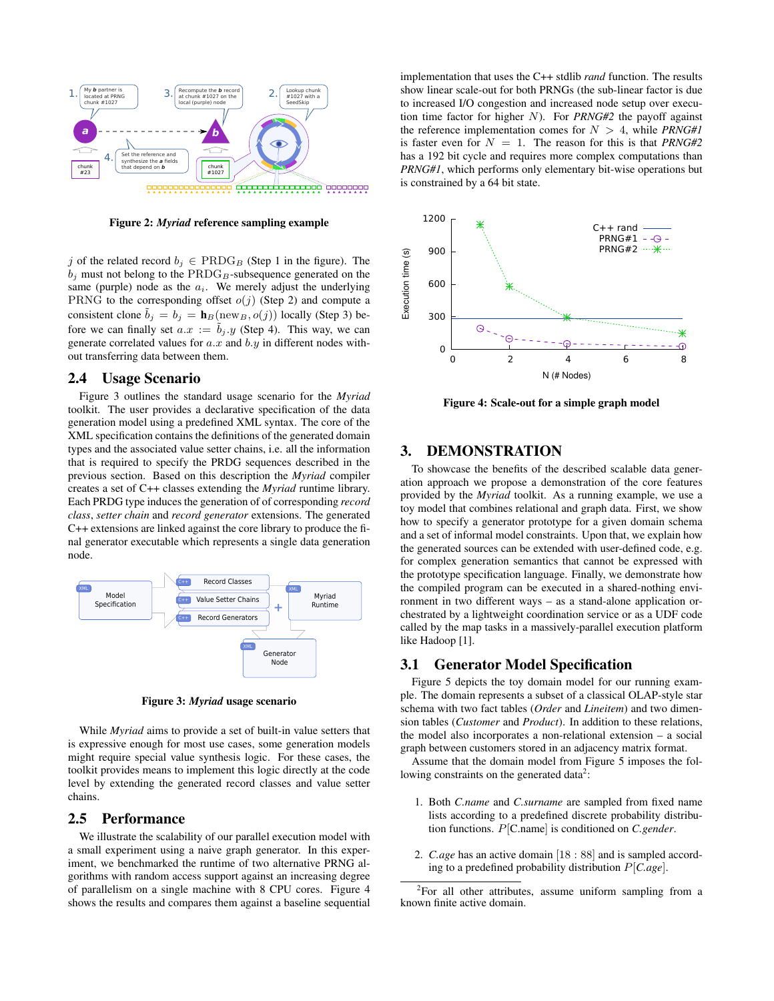

Figure 2: *Myriad* reference sampling example

j of the related record  $b_i \in \text{PRDG}_B$  (Step 1 in the figure). The  $b_i$  must not belong to the PRDG<sub>B</sub>-subsequence generated on the same (purple) node as the  $a_i$ . We merely adjust the underlying PRNG to the corresponding offset  $o(j)$  (Step 2) and compute a consistent clone  $\tilde{b}_j = b_j = \mathbf{h}_B(\text{new}_B, o(j))$  locally (Step 3) before we can finally set  $a.x := b_j.y$  (Step 4). This way, we can generate correlated values for  $a.x$  and  $b.y$  in different nodes without transferring data between them.

#### 2.4 Usage Scenario

Figure 3 outlines the standard usage scenario for the *Myriad* toolkit. The user provides a declarative specification of the data generation model using a predefined XML syntax. The core of the XML specification contains the definitions of the generated domain types and the associated value setter chains, i.e. all the information that is required to specify the PRDG sequences described in the previous section. Based on this description the *Myriad* compiler creates a set of C++ classes extending the *Myriad* runtime library. Each PRDG type induces the generation of of corresponding *record class*, *setter chain* and *record generator* extensions. The generated C++ extensions are linked against the core library to produce the final generator executable which represents a single data generation node.



Figure 3: *Myriad* usage scenario

While *Myriad* aims to provide a set of built-in value setters that is expressive enough for most use cases, some generation models might require special value synthesis logic. For these cases, the toolkit provides means to implement this logic directly at the code level by extending the generated record classes and value setter chains.

### 2.5 Performance

We illustrate the scalability of our parallel execution model with a small experiment using a naive graph generator. In this experiment, we benchmarked the runtime of two alternative PRNG algorithms with random access support against an increasing degree of parallelism on a single machine with 8 CPU cores. Figure 4 shows the results and compares them against a baseline sequential implementation that uses the C++ stdlib *rand* function. The results show linear scale-out for both PRNGs (the sub-linear factor is due to increased I/O congestion and increased node setup over execution time factor for higher N). For *PRNG#2* the payoff against the reference implementation comes for  $N > 4$ , while *PRNG#1* is faster even for  $N = 1$ . The reason for this is that *PRNG#2* has a 192 bit cycle and requires more complex computations than *PRNG#1*, which performs only elementary bit-wise operations but is constrained by a 64 bit state.



Figure 4: Scale-out for a simple graph model

# 3. DEMONSTRATION

To showcase the benefits of the described scalable data generation approach we propose a demonstration of the core features provided by the *Myriad* toolkit. As a running example, we use a toy model that combines relational and graph data. First, we show how to specify a generator prototype for a given domain schema and a set of informal model constraints. Upon that, we explain how the generated sources can be extended with user-defined code, e.g. for complex generation semantics that cannot be expressed with the prototype specification language. Finally, we demonstrate how the compiled program can be executed in a shared-nothing environment in two different ways – as a stand-alone application orchestrated by a lightweight coordination service or as a UDF code called by the map tasks in a massively-parallel execution platform like Hadoop [1].

#### 3.1 Generator Model Specification

Figure 5 depicts the toy domain model for our running example. The domain represents a subset of a classical OLAP-style star schema with two fact tables (*Order* and *Lineitem*) and two dimension tables (*Customer* and *Product*). In addition to these relations, the model also incorporates a non-relational extension – a social graph between customers stored in an adjacency matrix format.

Assume that the domain model from Figure 5 imposes the following constraints on the generated data<sup>2</sup>:

- 1. Both *C.name* and *C.surname* are sampled from fixed name lists according to a predefined discrete probability distribution functions. P[C.name] is conditioned on *C.gender*.
- 2. *C.age* has an active domain [18 : 88] and is sampled according to a predefined probability distribution P[*C.age*].

<sup>&</sup>lt;sup>2</sup>For all other attributes, assume uniform sampling from a known finite active domain.